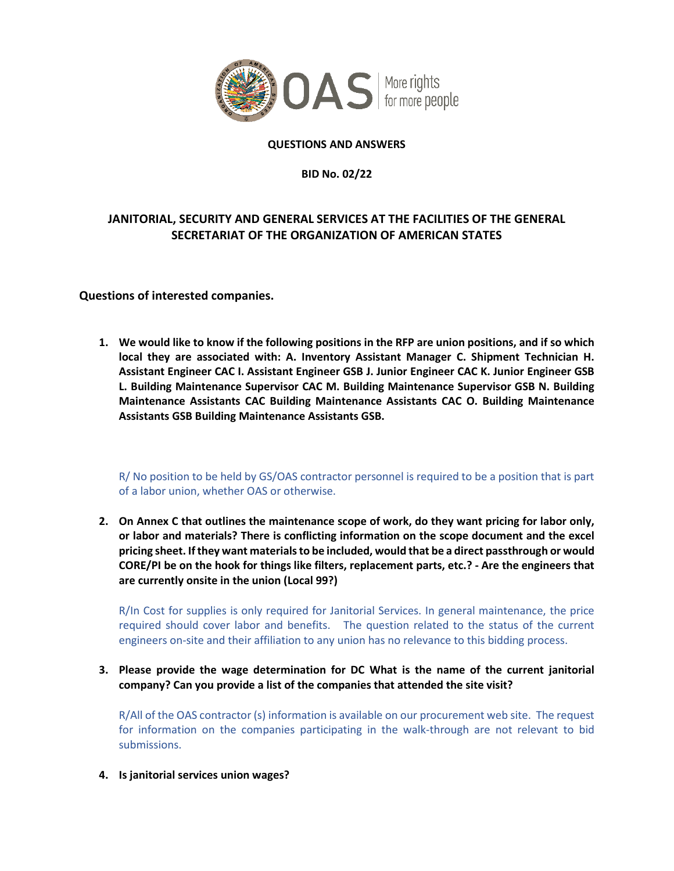

## **QUESTIONS AND ANSWERS**

**BID No. 02/22**

# **JANITORIAL, SECURITY AND GENERAL SERVICES AT THE FACILITIES OF THE GENERAL SECRETARIAT OF THE ORGANIZATION OF AMERICAN STATES**

# **Questions of interested companies.**

**1. We would like to know if the following positions in the RFP are union positions, and if so which local they are associated with: A. Inventory Assistant Manager C. Shipment Technician H. Assistant Engineer CAC I. Assistant Engineer GSB J. Junior Engineer CAC K. Junior Engineer GSB L. Building Maintenance Supervisor CAC M. Building Maintenance Supervisor GSB N. Building Maintenance Assistants CAC Building Maintenance Assistants CAC O. Building Maintenance Assistants GSB Building Maintenance Assistants GSB.**

R/ No position to be held by GS/OAS contractor personnel is required to be a position that is part of a labor union, whether OAS or otherwise.

**2. On Annex C that outlines the maintenance scope of work, do they want pricing for labor only, or labor and materials? There is conflicting information on the scope document and the excel pricing sheet. If they want materials to be included, would that be a direct passthrough or would CORE/PI be on the hook for things like filters, replacement parts, etc.? - Are the engineers that are currently onsite in the union (Local 99?)**

R/In Cost for supplies is only required for Janitorial Services. In general maintenance, the price required should cover labor and benefits. The question related to the status of the current engineers on-site and their affiliation to any union has no relevance to this bidding process.

**3. Please provide the wage determination for DC What is the name of the current janitorial company? Can you provide a list of the companies that attended the site visit?**

R/All of the OAS contractor (s) information is available on our procurement web site. The request for information on the companies participating in the walk-through are not relevant to bid submissions.

**4. Is janitorial services union wages?**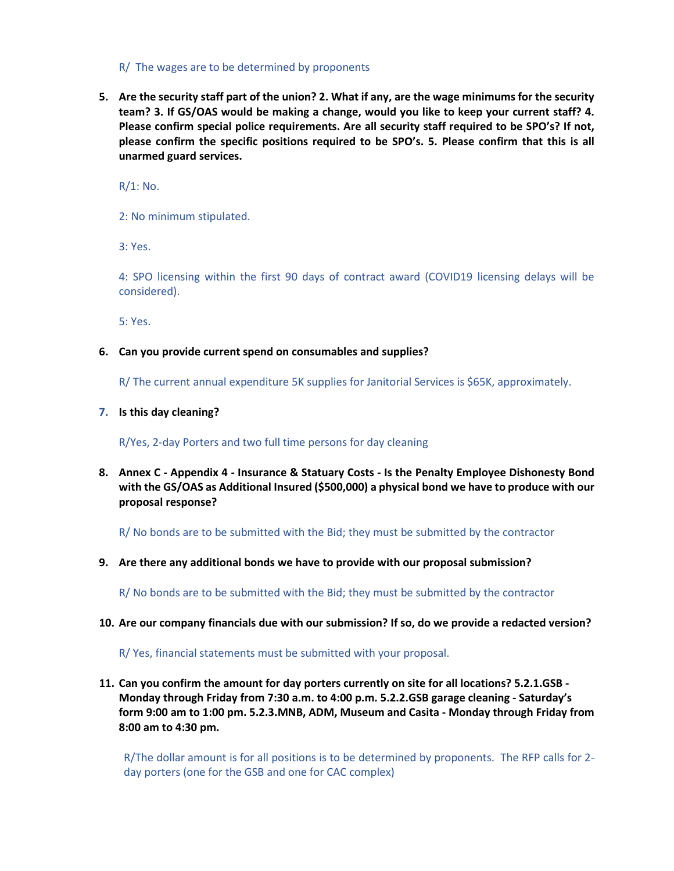### R/ The wages are to be determined by proponents

**5. Are the security staff part of the union? 2. What if any, are the wage minimums for the security team? 3. If GS/OAS would be making a change, would you like to keep your current staff? 4. Please confirm special police requirements. Are all security staff required to be SPO's? If not, please confirm the specific positions required to be SPO's. 5. Please confirm that this is all unarmed guard services.**

R/1: No.

2: No minimum stipulated.

3: Yes.

4: SPO licensing within the first 90 days of contract award (COVID19 licensing delays will be considered).

5: Yes.

### **6. Can you provide current spend on consumables and supplies?**

R/ The current annual expenditure 5K supplies for Janitorial Services is \$65K, approximately.

#### **7. Is this day cleaning?**

#### R/Yes, 2-day Porters and two full time persons for day cleaning

**8. Annex C - Appendix 4 - Insurance & Statuary Costs - Is the Penalty Employee Dishonesty Bond with the GS/OAS as Additional Insured (\$500,000) a physical bond we have to produce with our proposal response?**

R/ No bonds are to be submitted with the Bid; they must be submitted by the contractor

**9. Are there any additional bonds we have to provide with our proposal submission?** 

R/ No bonds are to be submitted with the Bid; they must be submitted by the contractor

#### **10. Are our company financials due with our submission? If so, do we provide a redacted version?**

R/ Yes, financial statements must be submitted with your proposal.

**11. Can you confirm the amount for day porters currently on site for all locations? 5.2.1.GSB - Monday through Friday from 7:30 a.m. to 4:00 p.m. 5.2.2.GSB garage cleaning - Saturday's form 9:00 am to 1:00 pm. 5.2.3.MNB, ADM, Museum and Casita - Monday through Friday from 8:00 am to 4:30 pm.**

R/The dollar amount is for all positions is to be determined by proponents. The RFP calls for 2 day porters (one for the GSB and one for CAC complex)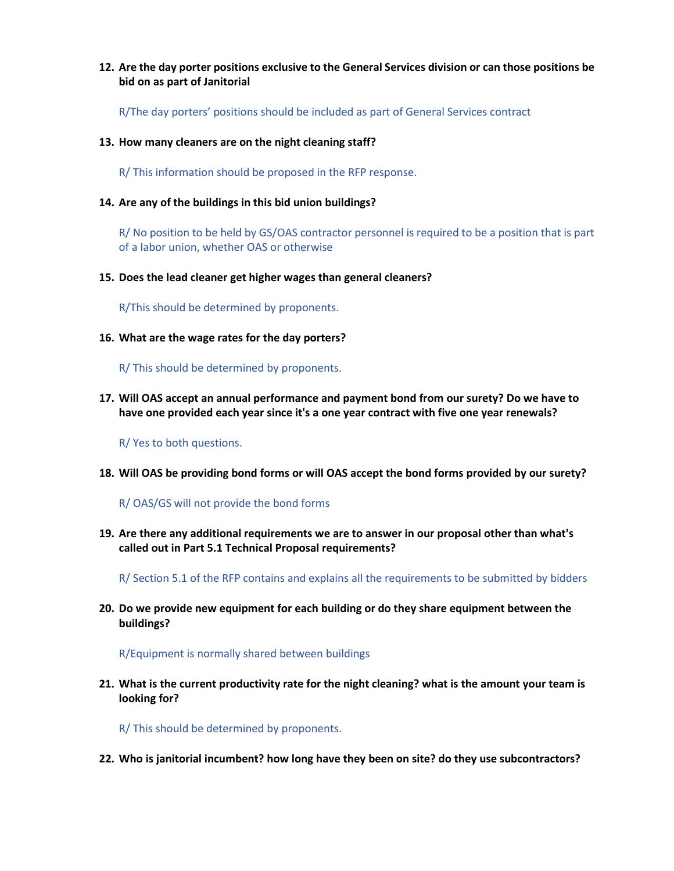## **12. Are the day porter positions exclusive to the General Services division or can those positions be bid on as part of Janitorial**

R/The day porters' positions should be included as part of General Services contract

**13. How many cleaners are on the night cleaning staff?**

R/ This information should be proposed in the RFP response.

**14. Are any of the buildings in this bid union buildings?**

R/ No position to be held by GS/OAS contractor personnel is required to be a position that is part of a labor union, whether OAS or otherwise

**15. Does the lead cleaner get higher wages than general cleaners?**

R/This should be determined by proponents.

**16. What are the wage rates for the day porters?**

R/ This should be determined by proponents.

**17. Will OAS accept an annual performance and payment bond from our surety? Do we have to have one provided each year since it's a one year contract with five one year renewals?**

R/ Yes to both questions.

**18. Will OAS be providing bond forms or will OAS accept the bond forms provided by our surety?**

R/ OAS/GS will not provide the bond forms

**19. Are there any additional requirements we are to answer in our proposal other than what's called out in Part 5.1 Technical Proposal requirements?**

R/ Section 5.1 of the RFP contains and explains all the requirements to be submitted by bidders

**20. Do we provide new equipment for each building or do they share equipment between the buildings?**

R/Equipment is normally shared between buildings

**21. What is the current productivity rate for the night cleaning? what is the amount your team is looking for?**

R/ This should be determined by proponents.

**22. Who is janitorial incumbent? how long have they been on site? do they use subcontractors?**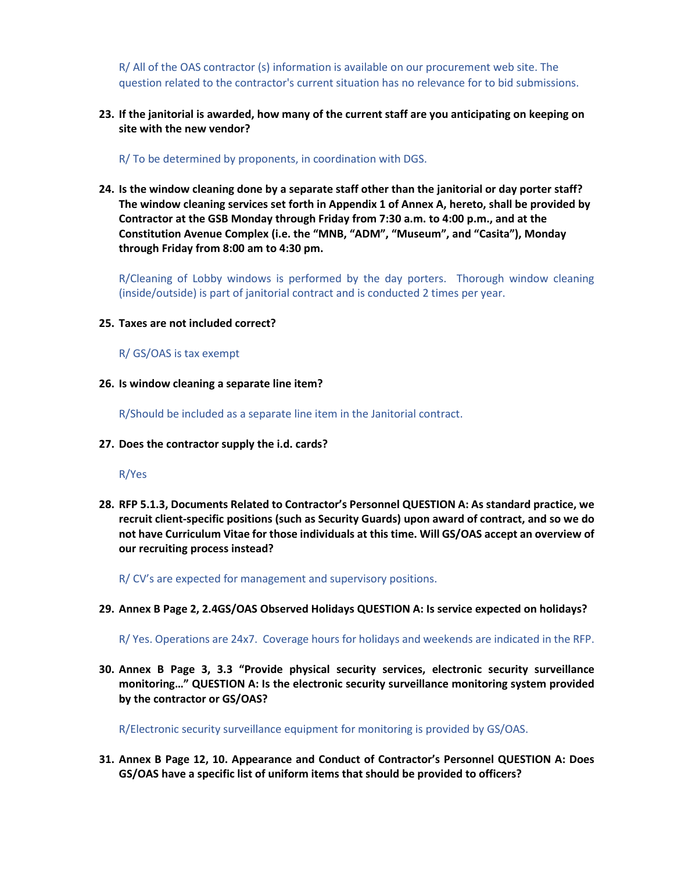R/ All of the OAS contractor (s) information is available on our procurement web site. The question related to the contractor's current situation has no relevance for to bid submissions.

**23. If the janitorial is awarded, how many of the current staff are you anticipating on keeping on site with the new vendor?** 

R/ To be determined by proponents, in coordination with DGS.

**24. Is the window cleaning done by a separate staff other than the janitorial or day porter staff? The window cleaning services set forth in Appendix 1 of Annex A, hereto, shall be provided by Contractor at the GSB Monday through Friday from 7:30 a.m. to 4:00 p.m., and at the Constitution Avenue Complex (i.e. the "MNB, "ADM", "Museum", and "Casita"), Monday through Friday from 8:00 am to 4:30 pm.**

R/Cleaning of Lobby windows is performed by the day porters. Thorough window cleaning (inside/outside) is part of janitorial contract and is conducted 2 times per year.

- **25. Taxes are not included correct?**
	- R/ GS/OAS is tax exempt
- **26. Is window cleaning a separate line item?**

R/Should be included as a separate line item in the Janitorial contract.

**27. Does the contractor supply the i.d. cards?**

R/Yes

**28. RFP 5.1.3, Documents Related to Contractor's Personnel QUESTION A: As standard practice, we recruit client-specific positions (such as Security Guards) upon award of contract, and so we do not have Curriculum Vitae for those individuals at this time. Will GS/OAS accept an overview of our recruiting process instead?** 

R/ CV's are expected for management and supervisory positions.

**29. Annex B Page 2, 2.4GS/OAS Observed Holidays QUESTION A: Is service expected on holidays?** 

R/ Yes. Operations are 24x7. Coverage hours for holidays and weekends are indicated in the RFP.

**30. Annex B Page 3, 3.3 "Provide physical security services, electronic security surveillance monitoring…" QUESTION A: Is the electronic security surveillance monitoring system provided by the contractor or GS/OAS?** 

R/Electronic security surveillance equipment for monitoring is provided by GS/OAS.

**31. Annex B Page 12, 10. Appearance and Conduct of Contractor's Personnel QUESTION A: Does GS/OAS have a specific list of uniform items that should be provided to officers?**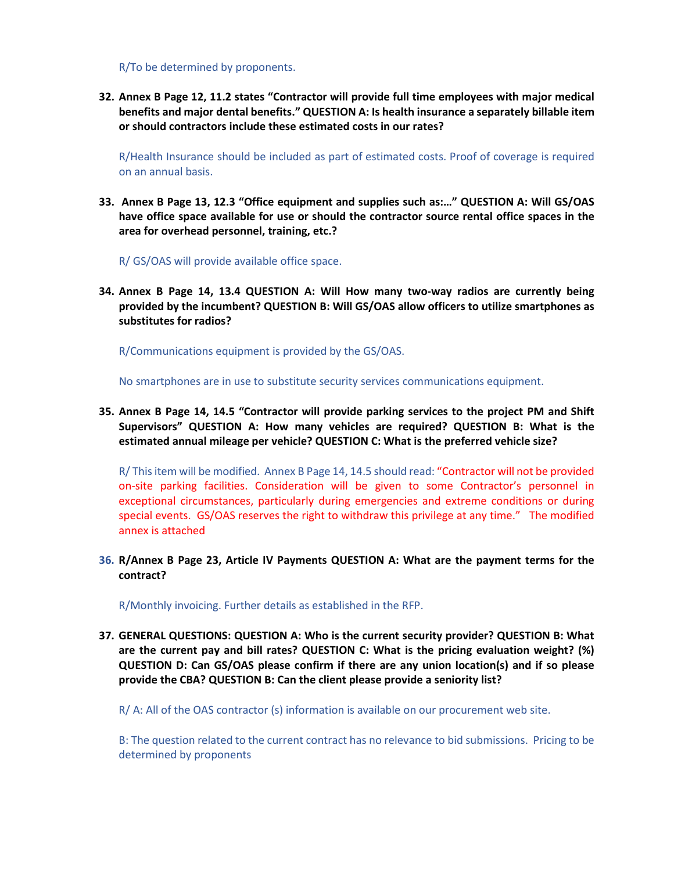R/To be determined by proponents.

**32. Annex B Page 12, 11.2 states "Contractor will provide full time employees with major medical benefits and major dental benefits." QUESTION A: Is health insurance a separately billable item or should contractors include these estimated costs in our rates?**

R/Health Insurance should be included as part of estimated costs. Proof of coverage is required on an annual basis.

**33. Annex B Page 13, 12.3 "Office equipment and supplies such as:…" QUESTION A: Will GS/OAS have office space available for use or should the contractor source rental office spaces in the area for overhead personnel, training, etc.?** 

R/ GS/OAS will provide available office space.

**34. Annex B Page 14, 13.4 QUESTION A: Will How many two-way radios are currently being provided by the incumbent? QUESTION B: Will GS/OAS allow officers to utilize smartphones as substitutes for radios?** 

R/Communications equipment is provided by the GS/OAS.

No smartphones are in use to substitute security services communications equipment.

**35. Annex B Page 14, 14.5 "Contractor will provide parking services to the project PM and Shift Supervisors" QUESTION A: How many vehicles are required? QUESTION B: What is the estimated annual mileage per vehicle? QUESTION C: What is the preferred vehicle size?** 

R/ This item will be modified. Annex B Page 14, 14.5 should read: "Contractor will not be provided on-site parking facilities. Consideration will be given to some Contractor's personnel in exceptional circumstances, particularly during emergencies and extreme conditions or during special events. GS/OAS reserves the right to withdraw this privilege at any time." The modified annex is attached

**36. R/Annex B Page 23, Article IV Payments QUESTION A: What are the payment terms for the contract?** 

R/Monthly invoicing. Further details as established in the RFP.

**37. GENERAL QUESTIONS: QUESTION A: Who is the current security provider? QUESTION B: What are the current pay and bill rates? QUESTION C: What is the pricing evaluation weight? (%) QUESTION D: Can GS/OAS please confirm if there are any union location(s) and if so please provide the CBA? QUESTION B: Can the client please provide a seniority list?**

R/ A: All of the OAS contractor (s) information is available on our procurement web site.

B: The question related to the current contract has no relevance to bid submissions. Pricing to be determined by proponents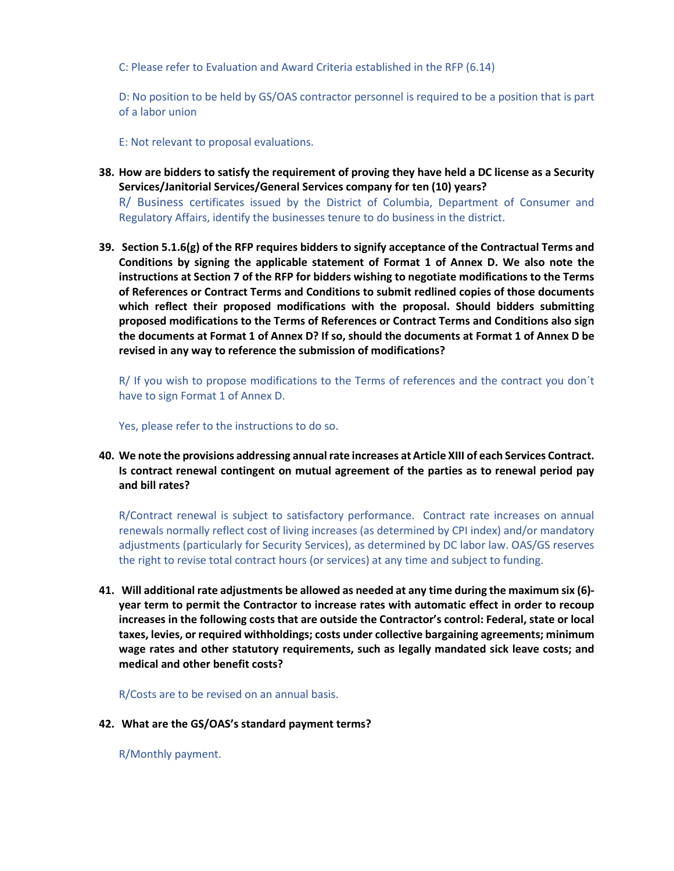C: Please refer to Evaluation and Award Criteria established in the RFP (6.14)

D: No position to be held by GS/OAS contractor personnel is required to be a position that is part of a labor union

E: Not relevant to proposal evaluations.

**38. How are bidders to satisfy the requirement of proving they have held a DC license as a Security Services/Janitorial Services/General Services company for ten (10) years?** 

R/ Business certificates issued by the District of Columbia, Department of Consumer and Regulatory Affairs, identify the businesses tenure to do business in the district.

**39. Section 5.1.6(g) of the RFP requires bidders to signify acceptance of the Contractual Terms and Conditions by signing the applicable statement of Format 1 of Annex D. We also note the instructions at Section 7 of the RFP for bidders wishing to negotiate modifications to the Terms of References or Contract Terms and Conditions to submit redlined copies of those documents which reflect their proposed modifications with the proposal. Should bidders submitting proposed modifications to the Terms of References or Contract Terms and Conditions also sign the documents at Format 1 of Annex D? If so, should the documents at Format 1 of Annex D be revised in any way to reference the submission of modifications?**

R/ If you wish to propose modifications to the Terms of references and the contract you don´t have to sign Format 1 of Annex D.

Yes, please refer to the instructions to do so.

**40. We note the provisions addressing annual rate increases at Article XIII of each Services Contract. Is contract renewal contingent on mutual agreement of the parties as to renewal period pay and bill rates?**

R/Contract renewal is subject to satisfactory performance. Contract rate increases on annual renewals normally reflect cost of living increases (as determined by CPI index) and/or mandatory adjustments (particularly for Security Services), as determined by DC labor law. OAS/GS reserves the right to revise total contract hours (or services) at any time and subject to funding.

**41. Will additional rate adjustments be allowed as needed at any time during the maximum six (6) year term to permit the Contractor to increase rates with automatic effect in order to recoup increases in the following costs that are outside the Contractor's control: Federal, state or local taxes, levies, or required withholdings; costs under collective bargaining agreements; minimum wage rates and other statutory requirements, such as legally mandated sick leave costs; and medical and other benefit costs?**

R/Costs are to be revised on an annual basis.

**42. What are the GS/OAS's standard payment terms?**

R/Monthly payment.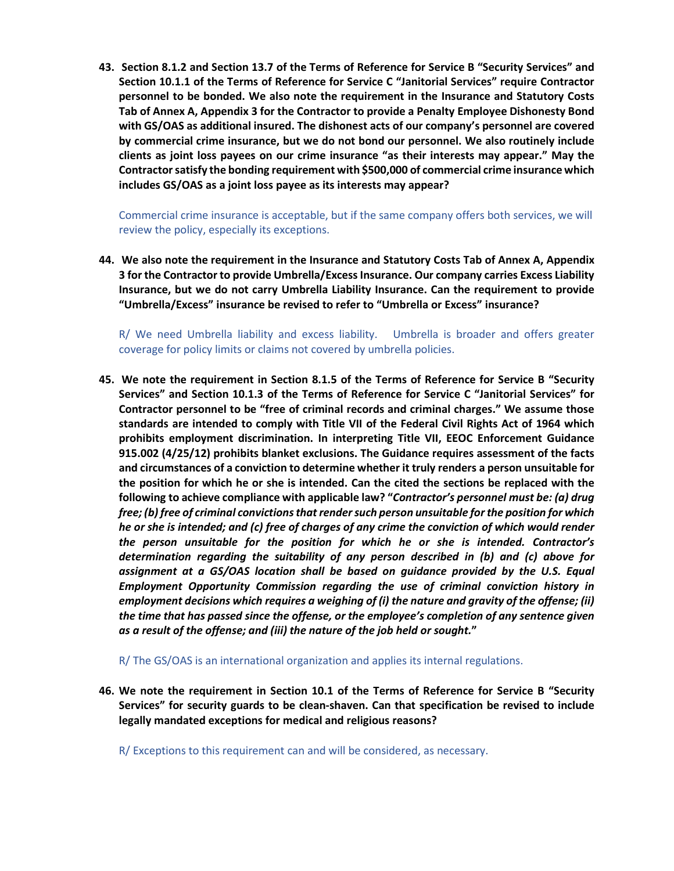**43. Section 8.1.2 and Section 13.7 of the Terms of Reference for Service B "Security Services" and Section 10.1.1 of the Terms of Reference for Service C "Janitorial Services" require Contractor personnel to be bonded. We also note the requirement in the Insurance and Statutory Costs Tab of Annex A, Appendix 3 for the Contractor to provide a Penalty Employee Dishonesty Bond with GS/OAS as additional insured. The dishonest acts of our company's personnel are covered by commercial crime insurance, but we do not bond our personnel. We also routinely include clients as joint loss payees on our crime insurance "as their interests may appear." May the Contractor satisfy the bonding requirement with \$500,000 of commercial crime insurance which includes GS/OAS as a joint loss payee as its interests may appear?**

Commercial crime insurance is acceptable, but if the same company offers both services, we will review the policy, especially its exceptions.

**44. We also note the requirement in the Insurance and Statutory Costs Tab of Annex A, Appendix 3 for the Contractor to provide Umbrella/Excess Insurance. Our company carries Excess Liability Insurance, but we do not carry Umbrella Liability Insurance. Can the requirement to provide "Umbrella/Excess" insurance be revised to refer to "Umbrella or Excess" insurance?**

R/ We need Umbrella liability and excess liability. Umbrella is broader and offers greater coverage for policy limits or claims not covered by umbrella policies.

**45. We note the requirement in Section 8.1.5 of the Terms of Reference for Service B "Security Services" and Section 10.1.3 of the Terms of Reference for Service C "Janitorial Services" for Contractor personnel to be "free of criminal records and criminal charges." We assume those standards are intended to comply with Title VII of the Federal Civil Rights Act of 1964 which prohibits employment discrimination. In interpreting Title VII, EEOC Enforcement Guidance 915.002 (4/25/12) prohibits blanket exclusions. The Guidance requires assessment of the facts and circumstances of a conviction to determine whether it truly renders a person unsuitable for the position for which he or she is intended. Can the cited the sections be replaced with the following to achieve compliance with applicable law? "***Contractor's personnel must be: (a) drug free; (b) free of criminal convictions that render such person unsuitable for the position for which he or she is intended; and (c) free of charges of any crime the conviction of which would render the person unsuitable for the position for which he or she is intended. Contractor's determination regarding the suitability of any person described in (b) and (c) above for*  assignment at a GS/OAS location shall be based on guidance provided by the U.S. Equal *Employment Opportunity Commission regarding the use of criminal conviction history in employment decisions which requires a weighing of (i) the nature and gravity of the offense; (ii) the time that has passed since the offense, or the employee's completion of any sentence given as a result of the offense; and (iii) the nature of the job held or sought.***"** 

R/ The GS/OAS is an international organization and applies its internal regulations.

**46. We note the requirement in Section 10.1 of the Terms of Reference for Service B "Security Services" for security guards to be clean-shaven. Can that specification be revised to include legally mandated exceptions for medical and religious reasons?**

R/ Exceptions to this requirement can and will be considered, as necessary.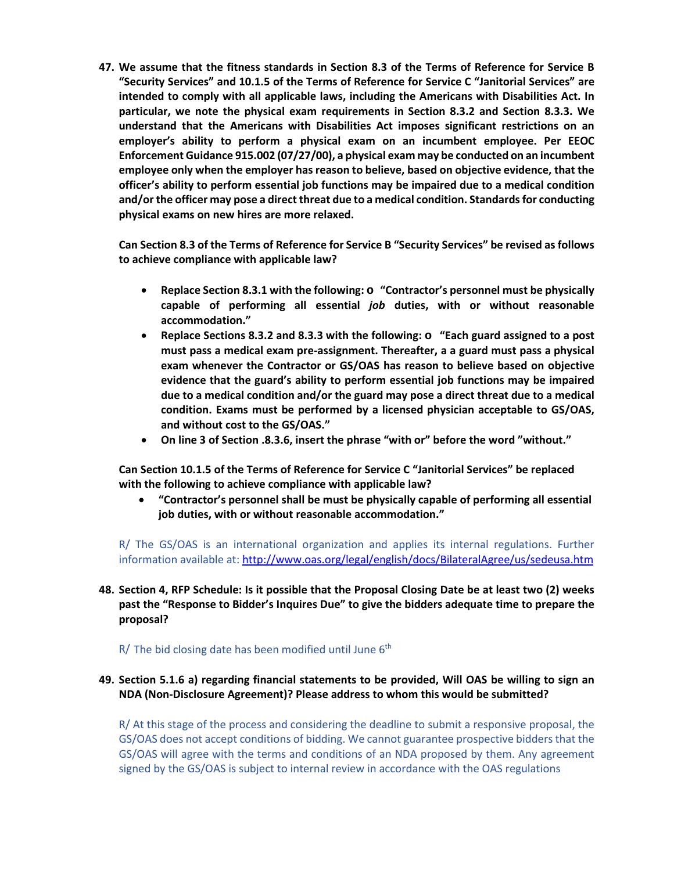**47. We assume that the fitness standards in Section 8.3 of the Terms of Reference for Service B "Security Services" and 10.1.5 of the Terms of Reference for Service C "Janitorial Services" are intended to comply with all applicable laws, including the Americans with Disabilities Act. In particular, we note the physical exam requirements in Section 8.3.2 and Section 8.3.3. We understand that the Americans with Disabilities Act imposes significant restrictions on an employer's ability to perform a physical exam on an incumbent employee. Per EEOC Enforcement Guidance 915.002 (07/27/00), a physical exam may be conducted on an incumbent employee only when the employer has reason to believe, based on objective evidence, that the officer's ability to perform essential job functions may be impaired due to a medical condition and/or the officer may pose a direct threat due to a medical condition. Standards for conducting physical exams on new hires are more relaxed.** 

**Can Section 8.3 of the Terms of Reference for Service B "Security Services" be revised as follows to achieve compliance with applicable law?** 

- **Replace Section 8.3.1 with the following: o "Contractor's personnel must be physically capable of performing all essential** *job* **duties, with or without reasonable accommodation."**
- **Replace Sections 8.3.2 and 8.3.3 with the following: o "Each guard assigned to a post must pass a medical exam pre-assignment. Thereafter, a a guard must pass a physical exam whenever the Contractor or GS/OAS has reason to believe based on objective evidence that the guard's ability to perform essential job functions may be impaired due to a medical condition and/or the guard may pose a direct threat due to a medical condition. Exams must be performed by a licensed physician acceptable to GS/OAS, and without cost to the GS/OAS."**
- **On line 3 of Section .8.3.6, insert the phrase "with or" before the word "without."**

**Can Section 10.1.5 of the Terms of Reference for Service C "Janitorial Services" be replaced with the following to achieve compliance with applicable law?** 

• **"Contractor's personnel shall be must be physically capable of performing all essential job duties, with or without reasonable accommodation."** 

R/ The GS/OAS is an international organization and applies its internal regulations. Further information available at:<http://www.oas.org/legal/english/docs/BilateralAgree/us/sedeusa.htm>

**48. Section 4, RFP Schedule: Is it possible that the Proposal Closing Date be at least two (2) weeks past the "Response to Bidder's Inquires Due" to give the bidders adequate time to prepare the proposal?** 

 $R$ / The bid closing date has been modified until June  $6<sup>th</sup>$ 

# **49. Section 5.1.6 a) regarding financial statements to be provided, Will OAS be willing to sign an NDA (Non-Disclosure Agreement)? Please address to whom this would be submitted?**

R/ At this stage of the process and considering the deadline to submit a responsive proposal, the GS/OAS does not accept conditions of bidding. We cannot guarantee prospective bidders that the GS/OAS will agree with the terms and conditions of an NDA proposed by them. Any agreement signed by the GS/OAS is subject to internal review in accordance with the OAS regulations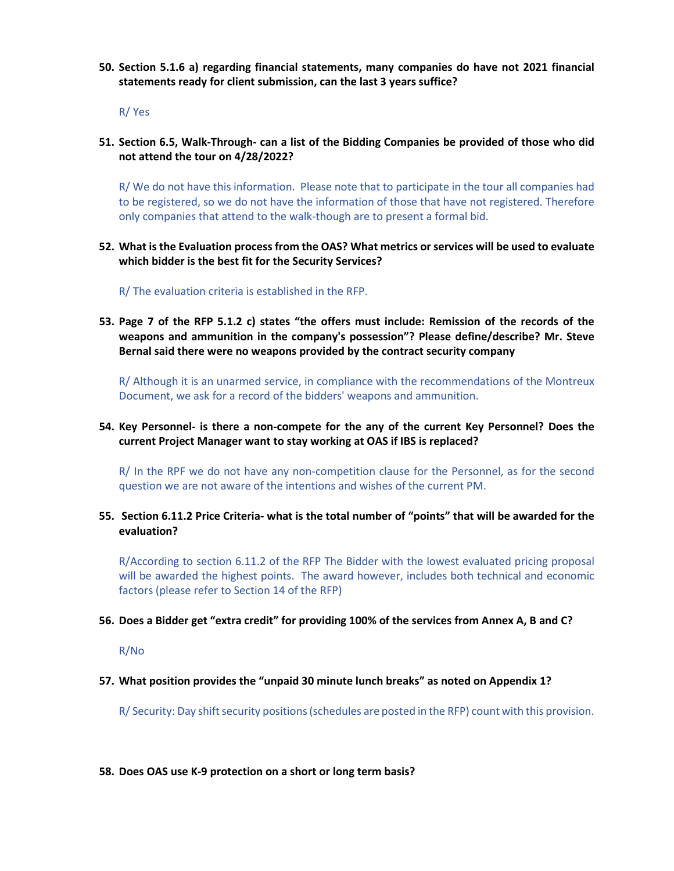**50. Section 5.1.6 a) regarding financial statements, many companies do have not 2021 financial statements ready for client submission, can the last 3 years suffice?** 

R/ Yes

**51. Section 6.5, Walk-Through- can a list of the Bidding Companies be provided of those who did not attend the tour on 4/28/2022?** 

R/ We do not have this information. Please note that to participate in the tour all companies had to be registered, so we do not have the information of those that have not registered. Therefore only companies that attend to the walk-though are to present a formal bid.

**52. What is the Evaluation process from the OAS? What metrics or services will be used to evaluate which bidder is the best fit for the Security Services?** 

R/ The evaluation criteria is established in the RFP.

**53. Page 7 of the RFP 5.1.2 c) states "the offers must include: Remission of the records of the weapons and ammunition in the company's possession"? Please define/describe? Mr. Steve Bernal said there were no weapons provided by the contract security company**

R/ Although it is an unarmed service, in compliance with the recommendations of the Montreux Document, we ask for a record of the bidders' weapons and ammunition.

### **54. Key Personnel- is there a non-compete for the any of the current Key Personnel? Does the current Project Manager want to stay working at OAS if IBS is replaced?**

R/ In the RPF we do not have any non-competition clause for the Personnel, as for the second question we are not aware of the intentions and wishes of the current PM.

**55. Section 6.11.2 Price Criteria- what is the total number of "points" that will be awarded for the evaluation?** 

R/According to section 6.11.2 of the RFP The Bidder with the lowest evaluated pricing proposal will be awarded the highest points. The award however, includes both technical and economic factors (please refer to Section 14 of the RFP)

#### **56. Does a Bidder get "extra credit" for providing 100% of the services from Annex A, B and C?**

R/No

**57. What position provides the "unpaid 30 minute lunch breaks" as noted on Appendix 1?** 

R/ Security: Day shift security positions (schedules are posted in the RFP) count with this provision.

#### **58. Does OAS use K-9 protection on a short or long term basis?**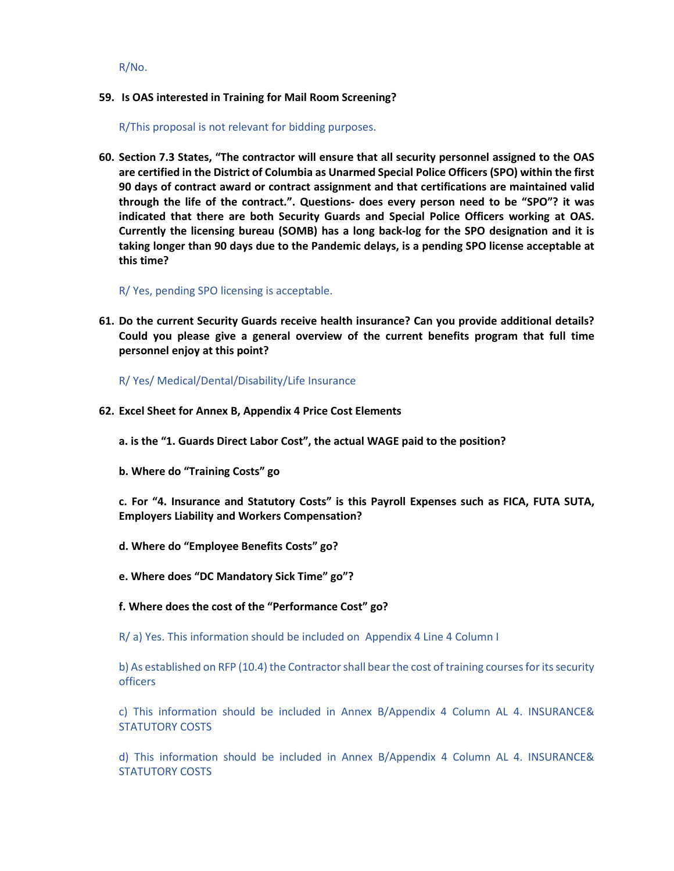R/No.

#### **59. Is OAS interested in Training for Mail Room Screening?**

R/This proposal is not relevant for bidding purposes.

**60. Section 7.3 States, "The contractor will ensure that all security personnel assigned to the OAS are certified in the District of Columbia as Unarmed Special Police Officers (SPO) within the first 90 days of contract award or contract assignment and that certifications are maintained valid through the life of the contract.". Questions- does every person need to be "SPO"? it was indicated that there are both Security Guards and Special Police Officers working at OAS. Currently the licensing bureau (SOMB) has a long back-log for the SPO designation and it is taking longer than 90 days due to the Pandemic delays, is a pending SPO license acceptable at this time?**

R/ Yes, pending SPO licensing is acceptable.

**61. Do the current Security Guards receive health insurance? Can you provide additional details? Could you please give a general overview of the current benefits program that full time personnel enjoy at this point?**

R/ Yes/ Medical/Dental/Disability/Life Insurance

**62. Excel Sheet for Annex B, Appendix 4 Price Cost Elements**

**a. is the "1. Guards Direct Labor Cost", the actual WAGE paid to the position?**

**b. Where do "Training Costs" go**

**c. For "4. Insurance and Statutory Costs" is this Payroll Expenses such as FICA, FUTA SUTA, Employers Liability and Workers Compensation?**

- **d. Where do "Employee Benefits Costs" go?**
- **e. Where does "DC Mandatory Sick Time" go"?**
- **f. Where does the cost of the "Performance Cost" go?**

R/ a) Yes. This information should be included on Appendix 4 Line 4 Column I

b) As established on RFP (10.4) the Contractor shall bear the cost of training courses for its security officers

c) This information should be included in Annex B/Appendix 4 Column AL 4. INSURANCE& STATUTORY COSTS

d) This information should be included in Annex B/Appendix 4 Column AL 4. INSURANCE& STATUTORY COSTS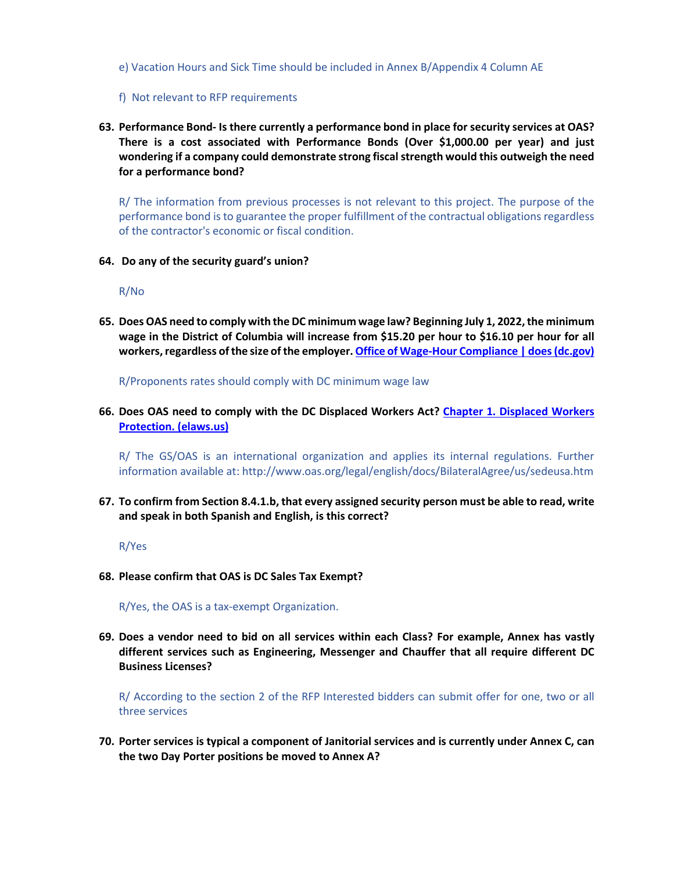e) Vacation Hours and Sick Time should be included in Annex B/Appendix 4 Column AE

- f) Not relevant to RFP requirements
- **63. Performance Bond- Is there currently a performance bond in place for security services at OAS? There is a cost associated with Performance Bonds (Over \$1,000.00 per year) and just wondering if a company could demonstrate strong fiscal strength would this outweigh the need for a performance bond?**

R/ The information from previous processes is not relevant to this project. The purpose of the performance bond is to guarantee the proper fulfillment of the contractual obligations regardless of the contractor's economic or fiscal condition.

**64. Do any of the security guard's union?**

R/No

**65. Does OAS need to comply with the DC minimum wage law? Beginning July 1, 2022, the minimum wage in the District of Columbia will increase from \$15.20 per hour to \$16.10 per hour for all workers, regardless of the size of the employer. Office of [Wage-Hour Compliance | does \(dc.gov\)](https://does.dc.gov/service/office-wage-hour-compliance-0#:%7E:text=Beginning%20July%201%2C%202022%2C%20the,%245.05%20per%20hour%20to%20%245.35)**

R/Proponents rates should comply with DC minimum wage law

**66. Does OAS need to comply with the DC Displaced Workers Act? [Chapter 1. Displaced Workers](http://dccode.elaws.us/code?no=32-1&e=8)  [Protection. \(elaws.us\)](http://dccode.elaws.us/code?no=32-1&e=8)**

R/ The GS/OAS is an international organization and applies its internal regulations. Further information available at:<http://www.oas.org/legal/english/docs/BilateralAgree/us/sedeusa.htm>

**67. To confirm from Section 8.4.1.b, that every assigned security person must be able to read, write and speak in both Spanish and English, is this correct?**

R/Yes

**68. Please confirm that OAS is DC Sales Tax Exempt?**

R/Yes, the OAS is a tax-exempt Organization.

**69. Does a vendor need to bid on all services within each Class? For example, Annex has vastly different services such as Engineering, Messenger and Chauffer that all require different DC Business Licenses?**

R/ According to the section 2 of the RFP Interested bidders can submit offer for one, two or all three services

**70. Porter services is typical a component of Janitorial services and is currently under Annex C, can the two Day Porter positions be moved to Annex A?**